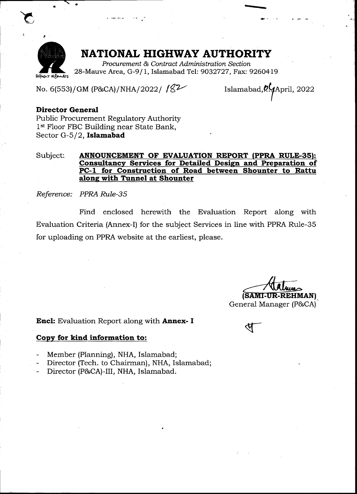

### NATIONAL HIGHWAY AUTHORITY

Procurement & Contract Administration Section 28-Mauve Area, G-9/1, Islamabad Tel: 9032727, Fax: 9260419

No. 6(553)/GM (P&CA)/NHA/2022/  $18<sup>2</sup>$ 

Islamabad, 0.4 April, 2022

#### Director General

 $\overline{\phantom{0}}$ 

Fublic Procurement Regulatory Authority 1<sup>st</sup> Floor FBC Building near State Bank, Sector G- $5/2$ , Islamabad

#### Subject: **ANNOUNCEMENT OF EVALUATION REPORT (PPRA RULE-35):** Consultancy Services for Detailed Design and Preparation of PC-1 for Construction of Road between Shounter to Rattu along with Tunnel at Shounter

Reference: PPRA RuIe-3S

Find enclosed herewith the Evaluation Report along with Evaluation Criteria (Annex-I) for the subject Services in line with PPRA Rule-35 for uploading on PPRA website at the earliest, please.

(SAMI-UR-REHMAN) General Manager (P&CA)

Encl: Evaluation Report along with Annex- I

#### Copy for kind information to:

- Member (Planning), NHA, Islamabad;
- Director (Tech. to Chairman), NHA, Islamabad;
- Director (P&CA)-III, NHA, Islamabad.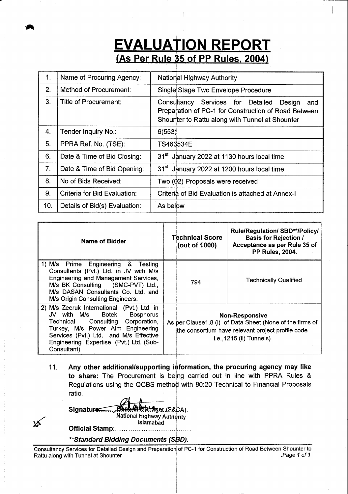## **EVALUATION REPORT** (As Per Rule 35 of PP Rules, 2004)

| 1.  | Name of Procuring Agency:     | <b>National Highway Authority</b>                                                                                                                                |  |  |  |  |  |
|-----|-------------------------------|------------------------------------------------------------------------------------------------------------------------------------------------------------------|--|--|--|--|--|
| 2.  | Method of Procurement:        | Single Stage Two Envelope Procedure                                                                                                                              |  |  |  |  |  |
| 3.  | Title of Procurement:         | Consultancy<br>Services for Detailed<br>Design<br>and<br>Preparation of PC-1 for Construction of Road Between<br>Shounter to Rattu along with Tunnel at Shounter |  |  |  |  |  |
| 4.  | Tender Inquiry No.:           | 6(553)                                                                                                                                                           |  |  |  |  |  |
| 5.  | PPRA Ref. No. (TSE):          | TS463534E                                                                                                                                                        |  |  |  |  |  |
| 6.  | Date & Time of Bid Closing:   | 31 <sup>st</sup> January 2022 at 1130 hours local time                                                                                                           |  |  |  |  |  |
| 7.  | Date & Time of Bid Opening:   | 31 <sup>st</sup> January 2022 at 1200 hours local time                                                                                                           |  |  |  |  |  |
| 8.  | No of Bids Received:          | Two (02) Proposals were received                                                                                                                                 |  |  |  |  |  |
| 9.  | Criteria for Bid Evaluation:  | Criteria of Bid Evaluation is attached at Annex-I                                                                                                                |  |  |  |  |  |
| 10. | Details of Bid(s) Evaluation: | As below                                                                                                                                                         |  |  |  |  |  |

| <b>Name of Bidder</b>                                                                                                                                                                                                                                             | <b>Technical Score</b><br>(out of 1000)                                                                                                                             | <b>Rule/Regulation/ SBD**/Policy/</b><br><b>Basis for Rejection /</b><br>Acceptance as per Rule 35 of<br><b>PP Rules, 2004.</b> |  |  |
|-------------------------------------------------------------------------------------------------------------------------------------------------------------------------------------------------------------------------------------------------------------------|---------------------------------------------------------------------------------------------------------------------------------------------------------------------|---------------------------------------------------------------------------------------------------------------------------------|--|--|
| 1) M/s Prime Engineering & Testing<br>Consultants (Pvt.) Ltd. in JV with M/s<br>Engineering and Management Services,<br>M/s BK Consulting (SMC-PVT) Ltd.,<br>M/s DASAN Consultants Co. Ltd. and<br>M/s Origin Consulting Engineers.                               | 794                                                                                                                                                                 | <b>Technically Qualified</b>                                                                                                    |  |  |
| 2) M/s Zeeruk International (Pvt.) Ltd. in<br>JV with M/s Botek<br><b>Bosphorus</b><br>Technical Consulting Corporation,<br>Turkey, M/s Power Aim Engineering<br>Services (Pvt.) Ltd. and M/s Effective<br>Engineering Expertise (Pvt.) Ltd. (Sub-<br>Consultant) | <b>Non-Responsive</b><br>As per Clause 1.8 (i) of Data Sheet (None of the firms of<br>the consortium have relevant project profile code<br>i.e., 1215 (ii) Tunnels) |                                                                                                                                 |  |  |

Any other additional/supporting information, the procuring agency may like to share: The Procurement is being carried out in line with PPRA Rules & Regulations using the QCBS method with 80:20 Technical to Financial Proposals ratio. 11.

| Signature Canadian Ager (P&CA).<br><b>National Highway Authority</b> |
|----------------------------------------------------------------------|
| Islamabad<br>Official Stamp:                                         |

\*\*Standard Bidding Documents (SBD).

Consultancy Services for Detailed Design and Preparation of PC-1 for Construction of Road Between Shounter to<br>Rattu along with Tunnel at Shounter Rattu along with Tunnel at Shounter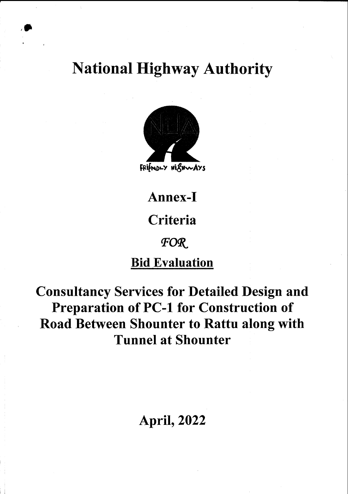**National Highway Authority** 



Annex-I Criteria FOR **Bid Evaluation** 

**Consultancy Services for Detailed Design and Preparation of PC-1 for Construction of** Road Between Shounter to Rattu along with **Tunnel at Shounter** 

# **April, 2022**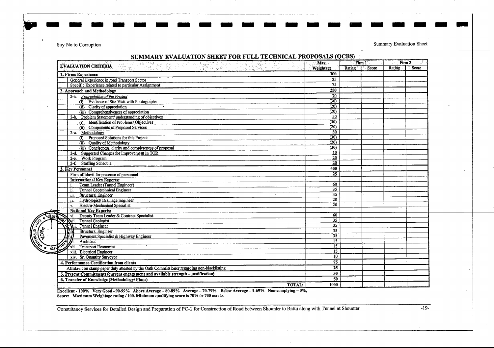Say No to Corruption

iuu

Summary Evaluation Sheet

**i** 

ari ang an

| SUMMARY EVALUATION SHEET FOR FULL TECHNICAL PROPOSALS (QCBS)                               | Max.                  |              | Firm 1 | $Firm-2$ |              |
|--------------------------------------------------------------------------------------------|-----------------------|--------------|--------|----------|--------------|
| <b>EVALUATION CRITERIA</b><br>Hotel (한글리아<br>Titlingen.<br>Titlingen                       | Weightage             | Rating Score |        |          | Rating Score |
| 1. Firms Experience                                                                        | 100                   |              |        |          |              |
| General Experience in road Transport Sector                                                | 25                    |              |        |          |              |
| Specific Experience related to particular Assignment                                       | $\overline{75}$       |              |        |          |              |
| 2. Approach and Methodology                                                                | 250                   |              |        |          |              |
| 2-a. Appreciation of the Project                                                           | $\overline{70}$       |              |        |          |              |
| (i) Evidence of Site Visit with Photographs                                                | (30)                  |              |        |          |              |
| (ii) Clarity of appreciation<br>$\sim$<br>$\overline{\phantom{a}}$                         | (20)                  |              |        |          |              |
| (iii) Comprehensiveness of appreciation                                                    | (20)                  |              |        |          |              |
| 2-b. Problem Statement/ understanding of objectives                                        | 50                    |              |        |          |              |
| (i) Identification of Problems/Objectives                                                  | (30)                  |              |        |          |              |
| (ii) Components of Proposed Services                                                       | (20)                  |              |        |          |              |
| 2-c. Methodology                                                                           | 80                    |              |        |          |              |
| (i) Proposed Solutions for this Project                                                    | (30)                  |              |        |          |              |
| (ii) Quality of Methodology                                                                | (20)                  |              |        |          |              |
| (iii) Conciseness, clarity and completeness of proposal                                    | (30)                  |              |        |          |              |
| 2-d. Suggested Changes for Improvement in TOR                                              | $\overline{10}$       |              |        |          |              |
| 2-e. Work Program                                                                          | $\overline{20}$       |              |        |          |              |
| 2-f. Staffing Schedule                                                                     | $\overline{20}$       |              |        |          |              |
| 3. Key Personnel                                                                           | 450                   |              |        |          |              |
| Firm affidavit for presence of personnel                                                   | 25                    |              |        |          |              |
| <b>International Key Experts:</b>                                                          |                       |              |        |          |              |
| Team Leader (Tunnel Engineer)                                                              | 60                    |              |        |          |              |
| <b>Tunnel Geotechnical Engineer</b><br>ii.                                                 | $\overline{35}$       |              |        |          |              |
| iii. Structural Engineer                                                                   | 35                    |              |        |          |              |
| Hydrologist/ Drainage Engineer<br>iv.                                                      | $\overline{20}$       |              |        |          |              |
| <b>Electro-Mechanical Specialist</b><br>$v_{\rm c}$                                        | $\overline{20}$       |              |        |          |              |
| <b>National Key Experts:</b>                                                               |                       |              |        |          |              |
| vi. Deputy Team Leader & Contract Specialist<br>at).                                       | 60<br>$\overline{35}$ |              |        |          |              |
| Vii. Tunnel Geologist                                                                      | $\overline{35}$       |              |        |          |              |
| Tunnel Engineer                                                                            | $\overline{35}$       |              |        |          |              |
| <b>Structural Engineer</b>                                                                 | $\overline{35}$       |              |        |          |              |
| Pavement Specialist & Highway Engineer<br>Architect                                        | $\overline{15}$       |              |        |          |              |
|                                                                                            | $\overline{15}$       |              |        |          |              |
| <b>Transport Economist</b><br><b>Hippox</b><br>$\mathbf{z}_{\text{xi}}$                    | $\overline{15}$       |              |        |          |              |
| xiii. Electrical Engineer                                                                  | 10                    |              |        |          |              |
| xiv. Sr. Quantity Surveyor                                                                 | 75                    |              |        |          |              |
| 4. Performance Certification from clients                                                  | $\overline{25}$       |              |        |          |              |
| Affidavit on stamp paper duly attested by the Oath Commissioner regarding non-blacklisting |                       |              |        |          |              |
| 5. Present Commitments (current engagement and available strength - justification)         | 50                    |              |        |          |              |
| 6. Transfer of Knowledge (Methodology/Plans)                                               | 50                    |              |        |          |              |
| <b>TOTAL:</b>                                                                              | 1000                  |              |        |          |              |

Excellent - 100% Very Good - 90-99% Above Average – 80-89% Average – 70-79% Below Average – 1-69% Non-complying -Score: Maximum Weightage rating / 100. Minimum qualifying score is 70% or ?00 marks.

Consultancy Services for Detailed Design and Preparation of PC-1 for Construction of Road between Shounter to Rattu along with Tunnel at Shounter

 $-19-$